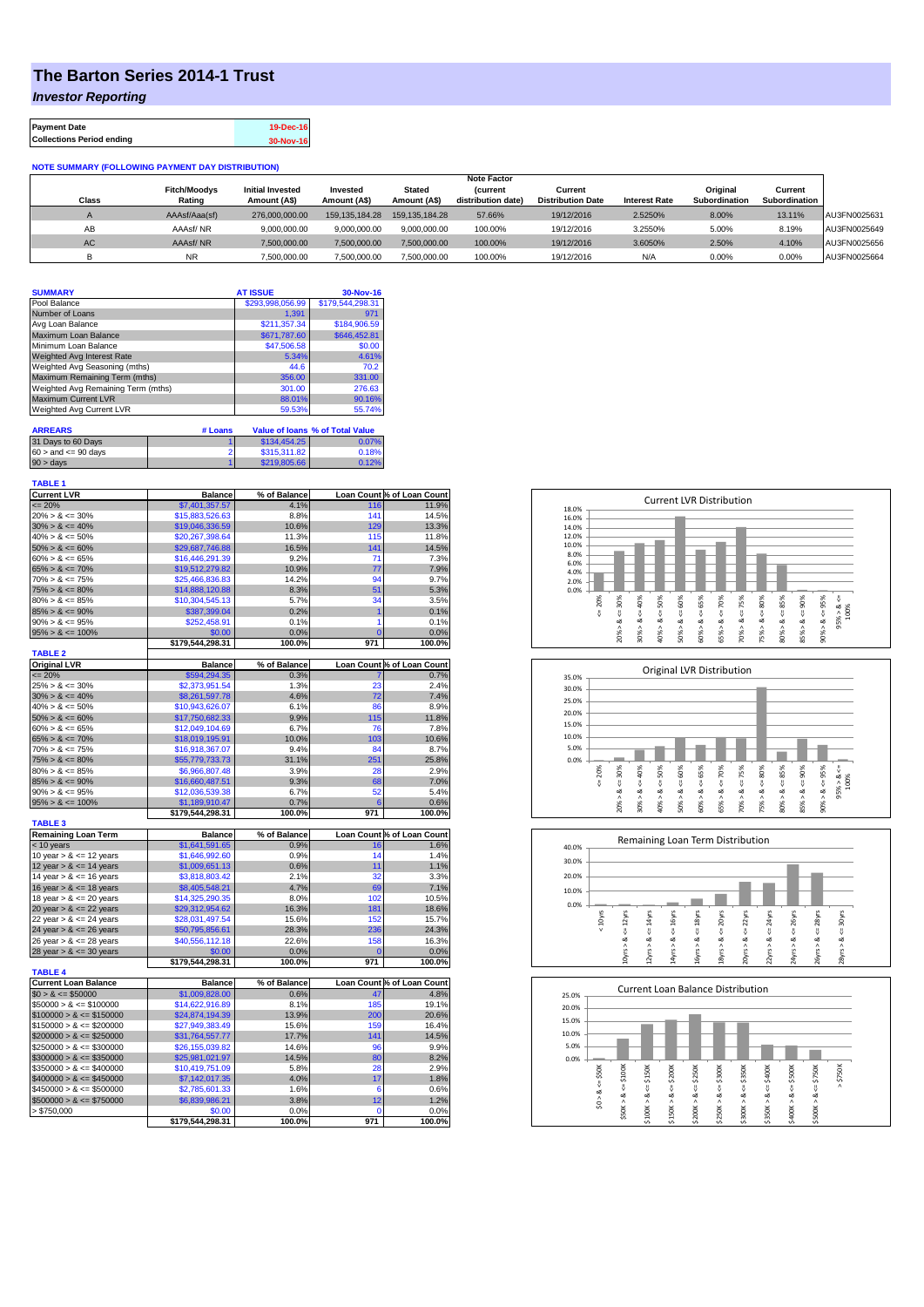## **The Barton Series 2014-1 Trust**

*Investor Reporting*

| <b>Payment Date</b>              | 19-Dec-16 |
|----------------------------------|-----------|
| <b>Collections Period ending</b> | 30-Nov-16 |

## **NOTE SUMMARY (FOLLOWING PAYMENT DAY DISTRIBUTION)**

|           |                     |                         |                |                   | <b>Note Factor</b> |                          |                      |               |               |              |
|-----------|---------------------|-------------------------|----------------|-------------------|--------------------|--------------------------|----------------------|---------------|---------------|--------------|
|           | <b>Fitch/Moodys</b> | <b>Initial Invested</b> | Invested       | Stated            | <b>Current</b>     | Current                  |                      | Original      | Current       |              |
| Class     | Rating              | Amount (A\$)            | Amount (A\$)   | Amount (A\$)      | distribution date) | <b>Distribution Date</b> | <b>Interest Rate</b> | Subordination | Subordination |              |
|           | AAAsf/Aaa(sf)       | 276,000,000,00          | 159.135.184.28 | 159, 135, 184, 28 | 57.66%             | 19/12/2016               | 2.5250%              | 8.00%         | 13.11%        | AU3FN0025631 |
| AB        | AAAsf/NR            | 9,000,000.00            | 9.000.000.00   | 9.000.000.00      | 100.00%            | 19/12/2016               | 3.2550%              | 5.00%         | 8.19%         | AU3FN0025649 |
| <b>AC</b> | AAAsf/NR            | 7,500,000.00            | 7.500.000.00   | 7.500.000.00      | 100.00%            | 19/12/2016               | 3.6050%              | 2.50%         | 4.10%         | AU3FN0025656 |
|           | <b>NR</b>           | ,500,000.00             | 7.500.000.00   | 7,500,000.00      | 100.00%            | 19/12/2016               | N/A                  | 0.00%         | 0.00%         | AU3FN0025664 |

| <b>SUMMARY</b>                     |         | <b>AT ISSUE</b>  | 30-Nov-16                              |
|------------------------------------|---------|------------------|----------------------------------------|
| Pool Balance                       |         | \$293,998,056.99 | \$179,544,298.31                       |
| Number of Loans                    |         | 1.391            | 971                                    |
| Avg Loan Balance                   |         | \$211.357.34     | \$184,906.59                           |
| Maximum Loan Balance               |         | \$671,787.60     | \$646,452.81                           |
| Minimum Loan Balance               |         | \$47,506.58      | \$0.00                                 |
| <b>Weighted Avg Interest Rate</b>  |         | 5.34%            | 4.61%                                  |
| Weighted Avg Seasoning (mths)      |         | 44.6             | 70.2                                   |
| Maximum Remaining Term (mths)      |         | 356.00           | 331.00                                 |
| Weighted Avg Remaining Term (mths) |         | 301.00           | 276.63                                 |
| <b>Maximum Current LVR</b>         |         | 88.01%           | 90.16%                                 |
| Weighted Avg Current LVR           |         | 59.53%           | 55.74%                                 |
| <b>ARREARS</b>                     | # Loans |                  | <b>Value of loans % of Total Value</b> |
| 31 Days to 60 Days                 |         | \$134,454.25     | 0.07%                                  |

| 90 > days                 | \$219,805.66 | 0.12% |
|---------------------------|--------------|-------|
| $60 >$ and $\leq 90$ days | \$315,311.82 | 0.18% |
|                           | -----------  | .     |

| <b>TABLE 1</b>              |                  |              |                |                            |
|-----------------------------|------------------|--------------|----------------|----------------------------|
| <b>Current LVR</b>          | <b>Balance</b>   | % of Balance |                | Loan Count % of Loan Count |
| $= 20%$                     | \$7,401,357.57   | 4.1%         | 116            | 11.9%                      |
| $20\% > 8 \le 30\%$         | \$15,883,526.63  | 8.8%         | 141            | 14.5%                      |
| $30\% > 8 \le 40\%$         | \$19,046,336.59  | 10.6%        | 129            | 13.3%                      |
| $40\% > 8 \le 50\%$         | \$20,267,398.64  | 11.3%        | 115            | 11.8%                      |
| $50\% > 8 \le 60\%$         | \$29,687,746.88  | 16.5%        | 141            | 14.5%                      |
| $60\% > 8 \le 65\%$         | \$16,446,291.39  | 9.2%         | 71             | 7.3%                       |
| $65\% > 8 \le 70\%$         | \$19,512,279.82  | 10.9%        | 77             | 7.9%                       |
| $70\% > 8 \le 75\%$         | \$25,466,836.83  | 14.2%        | 94             | 9.7%                       |
| $75\% > 8 \le 80\%$         | \$14,888,120.88  | 8.3%         | 51             | 5.3%                       |
| $80\% > 8 \le 85\%$         | \$10,304,545.13  | 5.7%         | 34             | 3.5%                       |
| $85\% > 8 \le 90\%$         | \$387,399.04     | 0.2%         | $\overline{1}$ | 0.1%                       |
| $90\% > 8 \le 95\%$         | \$252,458.91     | 0.1%         | 1              | 0.1%                       |
| $95\% > 8 \le 100\%$        | \$0.00           | 0.0%         | $\overline{0}$ | 0.0%                       |
|                             | \$179,544,298.31 | 100.0%       | 971            | 100.0%                     |
| <b>TABLE 2</b>              |                  |              |                |                            |
| <b>Original LVR</b>         | <b>Balance</b>   | % of Balance |                | Loan Count % of Loan Count |
| $= 20%$                     | \$594,294.35     | 0.3%         |                | 0.7%                       |
| $25\% > 8 \le 30\%$         | \$2,373,951.54   | 1.3%         | 23             | 2.4%                       |
| $30\% > 8 \le 40\%$         | \$8,261,597.78   | 4.6%         | 72             | 7.4%                       |
| $40\% > 8 \le 50\%$         | \$10,943,626.07  | 6.1%         | 86             | 8.9%                       |
| $50\% > 8 \le 60\%$         | \$17,750,682.33  | 9.9%         | 115            | 11.8%                      |
| $60\% > 8 \le 65\%$         | \$12,049,104.69  | 6.7%         | 76             | 7.8%                       |
| $65\% > 8 \le 70\%$         | \$18,019,195.91  | 10.0%        | 103            | 10.6%                      |
| $70\% > 8 \le 75\%$         | \$16,918,367.07  | 9.4%         | 84             | 8.7%                       |
| $75\% > 8 \le 80\%$         | \$55,779,733.73  | 31.1%        | 251            | 25.8%                      |
| $80\% > 8 \le 85\%$         | \$6,966,807.48   | 3.9%         | 28             | 2.9%                       |
| $85\% > 8 \le 90\%$         | \$16,660,487.51  | 9.3%         | 68             | 7.0%                       |
| $90\% > 8 \le 95\%$         | \$12,036,539.38  | 6.7%         | 52             | 5.4%                       |
| $95\% > 8 \le 100\%$        | \$1,189,910.47   | 0.7%         | 6              | 0.6%                       |
|                             | \$179,544,298.31 | 100.0%       | 971            | 100.0%                     |
| <b>TABLE 3</b>              |                  |              |                |                            |
| <b>Remaining Loan Term</b>  | <b>Balance</b>   | % of Balance |                | Loan Count % of Loan Count |
| < 10 years                  | \$1,641,591.65   | 0.9%         | 16             | 1.6%                       |
| 10 year $> 8 \le 12$ years  | \$1,646,992.60   | 0.9%         | 14             | 1.4%                       |
| 12 year $> 8 \le 14$ years  | \$1,009,651.13   | 0.6%         | 11             | 1.1%                       |
| 14 year $> 8 \le 16$ years  | \$3,818,803.42   | 2.1%         | 32             | 3.3%                       |
| 16 year $> 8 \le 18$ years  | \$8,405,548.21   | 4.7%         | 69             | 7.1%                       |
| 18 year $> 8 \le 20$ years  | \$14,325,290.35  | 8.0%         | 102            | 10.5%                      |
| 20 year $> 8 \le 22$ years  | \$29,312,954.62  | 16.3%        | 181            | 18.6%                      |
| 22 year $> 8 \le 24$ years  | \$28,031,497.54  | 15.6%        | 152            | 15.7%                      |
| 24 year $> 8 \le 26$ years  | \$50,795,856.61  | 28.3%        | 236            | 24.3%                      |
| 26 year $> 8 \le 28$ years  | \$40,556,112.18  | 22.6%        | 158            | 16.3%                      |
| 28 year $> 8 \le 30$ years  | \$0.00           | 0.0%         | Ō              | 0.0%                       |
|                             | \$179,544,298.31 | 100.0%       | 971            | 100.0%                     |
| <b>TABLE 4</b>              |                  |              |                |                            |
| <b>Current Loan Balance</b> | <b>Balance</b>   | % of Balance |                | Loan Count % of Loan Count |
| $$0 > 8 \le $50000$         | \$1,009,828.00   | 0.6%         | 47             | 4.8%                       |
| $$50000 > 8 \le $100000$    | \$14,622,916.89  | 8.1%         | 185            | 19.1%                      |
| $$100000 > 8 \leq $150000$  | \$24,874,194.39  | 13.9%        | 200            | 20.6%                      |
| $$150000 > 8 \leq $200000$  | \$27,949,383.49  | 15.6%        | 159            | 16.4%                      |
| $$200000 > 8 \leq $250000$  | \$31,764,557.77  | 17.7%        | 141            | 14.5%                      |
| $$250000 > 8 \leq $300000$  | \$26,155,039.82  | 14.6%        | 96             | 9.9%                       |
| $$300000 > 8 \leq $350000$  | \$25,981,021.97  | 14.5%        | 80             | 8.2%                       |
| $$350000 > 8 \leq $400000$  | \$10,419,751.09  | 5.8%         | 28             | 2.9%                       |
| $$400000 > 8 \leq $450000$  | \$7,142,017.35   | 4.0%         | 17             | 1.8%                       |
| $$450000 > 8 \le $500000$   | \$2,785,601.33   | 1.6%         | 6              | 0.6%                       |
| $$500000 > 8 \leq $750000$  | \$6,839,986.21   | 3.8%         | 12             | 1.2%                       |
| > \$750,000                 | \$0.00           | 0.0%         | $\mathbf 0$    | 0.0%                       |
|                             | \$179,544,298.31 | 100.0%       | 971            | 100.0%                     |